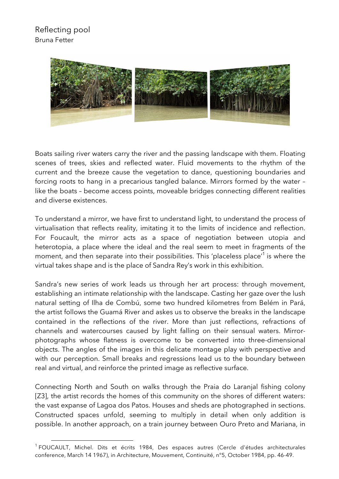

Boats sailing river waters carry the river and the passing landscape with them. Floating scenes of trees, skies and reflected water. Fluid movements to the rhythm of the current and the breeze cause the vegetation to dance, questioning boundaries and forcing roots to hang in a precarious tangled balance. Mirrors formed by the water – like the boats – become access points, moveable bridges connecting different realities and diverse existences.

To understand a mirror, we have first to understand light, to understand the process of virtualisation that reflects reality, imitating it to the limits of incidence and reflection. For Foucault, the mirror acts as a space of negotiation between utopia and heterotopia, a place where the ideal and the real seem to meet in fragments of the moment, and then separate into their possibilities. This 'placeless place'<sup>1</sup> is where the virtual takes shape and is the place of Sandra Rey's work in this exhibition.

Sandra's new series of work leads us through her art process: through movement, establishing an intimate relationship with the landscape. Casting her gaze over the lush natural setting of Ilha de Combú, some two hundred kilometres from Belém in Pará, the artist follows the Guamá River and askes us to observe the breaks in the landscape contained in the reflections of the river. More than just reflections, refractions of channels and watercourses caused by light falling on their sensual waters. Mirrorphotographs whose flatness is overcome to be converted into three-dimensional objects. The angles of the images in this delicate montage play with perspective and with our perception. Small breaks and regressions lead us to the boundary between real and virtual, and reinforce the printed image as reflective surface.

Connecting North and South on walks through the Praia do Laranjal fishing colony [Z3], the artist records the homes of this community on the shores of different waters: the vast expanse of Lagoa dos Patos. Houses and sheds are photographed in sections. Constructed spaces unfold, seeming to multiply in detail when only addition is possible. In another approach, on a train journey between Ouro Preto and Mariana, in

 

<sup>&</sup>lt;sup>1</sup> FOUCAULT, Michel. Dits et écrits 1984, Des espaces autres (Cercle d'études architecturales conference, March 14 1967), in Architecture, Mouvement, Continuité, n°5, October 1984, pp. 46-49.